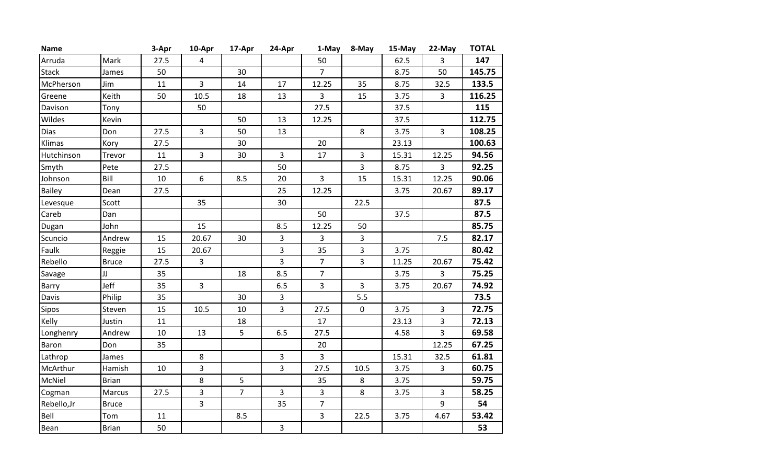| Name          |              | 3-Apr | 10-Apr                  | 17-Apr         | 24-Apr         | 1-May          | 8-May          | 15-May | 22-May         | <b>TOTAL</b> |
|---------------|--------------|-------|-------------------------|----------------|----------------|----------------|----------------|--------|----------------|--------------|
| Arruda        | Mark         | 27.5  | $\overline{4}$          |                |                | 50             |                | 62.5   | $\overline{3}$ | 147          |
| <b>Stack</b>  | James        | 50    |                         | 30             |                | $\overline{7}$ |                | 8.75   | 50             | 145.75       |
| McPherson     | Jim          | 11    | $\overline{3}$          | 14             | 17             | 12.25          | 35             | 8.75   | 32.5           | 133.5        |
| Greene        | Keith        | 50    | 10.5                    | 18             | 13             | 3              | 15             | 3.75   | $\mathbf{3}$   | 116.25       |
| Davison       | Tony         |       | 50                      |                |                | 27.5           |                | 37.5   |                | 115          |
| Wildes        | Kevin        |       |                         | 50             | 13             | 12.25          |                | 37.5   |                | 112.75       |
| <b>Dias</b>   | Don          | 27.5  | $\overline{\mathbf{3}}$ | 50             | 13             |                | 8              | 3.75   | $\overline{3}$ | 108.25       |
| Klimas        | Kory         | 27.5  |                         | 30             |                | 20             |                | 23.13  |                | 100.63       |
| Hutchinson    | Trevor       | 11    | $\mathbf{3}$            | 30             | $\mathbf{3}$   | 17             | $\mathsf{3}$   | 15.31  | 12.25          | 94.56        |
| Smyth         | Pete         | 27.5  |                         |                | 50             |                | $\overline{3}$ | 8.75   | $\overline{3}$ | 92.25        |
| Johnson       | Bill         | 10    | 6                       | 8.5            | 20             | $\overline{3}$ | 15             | 15.31  | 12.25          | 90.06        |
| <b>Bailey</b> | Dean         | 27.5  |                         |                | 25             | 12.25          |                | 3.75   | 20.67          | 89.17        |
| Levesque      | Scott        |       | 35                      |                | 30             |                | 22.5           |        |                | 87.5         |
| Careb         | Dan          |       |                         |                |                | 50             |                | 37.5   |                | 87.5         |
| Dugan         | John         |       | 15                      |                | 8.5            | 12.25          | 50             |        |                | 85.75        |
| Scuncio       | Andrew       | 15    | 20.67                   | 30             | $\overline{3}$ | 3              | 3              |        | 7.5            | 82.17        |
| Faulk         | Reggie       | 15    | 20.67                   |                | $\overline{3}$ | 35             | $\overline{3}$ | 3.75   |                | 80.42        |
| Rebello       | <b>Bruce</b> | 27.5  | $\overline{3}$          |                | $\overline{3}$ | $\overline{7}$ | $\overline{3}$ | 11.25  | 20.67          | 75.42        |
| Savage        | JJ           | 35    |                         | 18             | 8.5            | $\overline{7}$ |                | 3.75   | $\overline{3}$ | 75.25        |
| Barry         | Jeff         | 35    | $\mathbf{3}$            |                | 6.5            | 3              | 3              | 3.75   | 20.67          | 74.92        |
| Davis         | Philip       | 35    |                         | 30             | $\overline{3}$ |                | 5.5            |        |                | 73.5         |
| Sipos         | Steven       | 15    | 10.5                    | 10             | $\overline{3}$ | 27.5           | $\mathsf 0$    | 3.75   | $\overline{3}$ | 72.75        |
| Kelly         | Justin       | 11    |                         | 18             |                | 17             |                | 23.13  | $\overline{3}$ | 72.13        |
| Longhenry     | Andrew       | 10    | 13                      | 5 <sup>1</sup> | 6.5            | 27.5           |                | 4.58   | $\overline{3}$ | 69.58        |
| <b>Baron</b>  | Don          | 35    |                         |                |                | 20             |                |        | 12.25          | 67.25        |
| Lathrop       | James        |       | 8                       |                | $\overline{3}$ | $\overline{3}$ |                | 15.31  | 32.5           | 61.81        |
| McArthur      | Hamish       | 10    | $\overline{3}$          |                | $\overline{3}$ | 27.5           | 10.5           | 3.75   | $\mathbf{3}$   | 60.75        |
| McNiel        | <b>Brian</b> |       | $\,8\,$                 | 5              |                | 35             | $\,8\,$        | 3.75   |                | 59.75        |
| Cogman        | Marcus       | 27.5  | $\overline{3}$          | $\overline{7}$ | $\overline{3}$ | $\overline{3}$ | 8              | 3.75   | $\overline{3}$ | 58.25        |
| Rebello, Jr   | <b>Bruce</b> |       | $\overline{\mathbf{3}}$ |                | 35             | $\overline{7}$ |                |        | 9              | 54           |
| Bell          | Tom          | 11    |                         | 8.5            |                | $\overline{3}$ | 22.5           | 3.75   | 4.67           | 53.42        |
| Bean          | <b>Brian</b> | 50    |                         |                | $\overline{3}$ |                |                |        |                | 53           |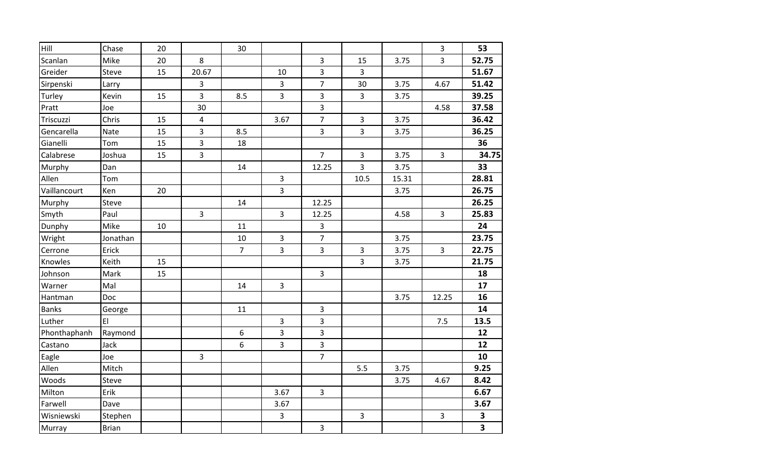| Hill         | Chase        | 20 |                         | 30             |                |                |                         |       | $\overline{3}$          | 53           |
|--------------|--------------|----|-------------------------|----------------|----------------|----------------|-------------------------|-------|-------------------------|--------------|
| Scanlan      | Mike         | 20 | 8                       |                |                | $\mathsf{3}$   | 15                      | 3.75  | $\overline{3}$          | 52.75        |
| Greider      | Steve        | 15 | 20.67                   |                | 10             | 3              | $\overline{3}$          |       |                         | 51.67        |
| Sirpenski    | Larry        |    | $\mathsf{3}$            |                | 3              | $\overline{7}$ | 30                      | 3.75  | 4.67                    | 51.42        |
| Turley       | Kevin        | 15 | 3                       | 8.5            | 3              | 3              | $\overline{3}$          | 3.75  |                         | 39.25        |
| Pratt        | Joe          |    | 30                      |                |                | $\mathbf{3}$   |                         |       | 4.58                    | 37.58        |
| Triscuzzi    | Chris        | 15 | $\overline{\mathbf{4}}$ |                | 3.67           | $\overline{7}$ | $\overline{3}$          | 3.75  |                         | 36.42        |
| Gencarella   | Nate         | 15 | $\mathbf{3}$            | 8.5            |                | $\overline{3}$ | $\overline{3}$          | 3.75  |                         | 36.25        |
| Gianelli     | Tom          | 15 | $\overline{3}$          | 18             |                |                |                         |       |                         | 36           |
| Calabrese    | Joshua       | 15 | $\overline{3}$          |                |                | $\overline{7}$ | $\overline{3}$          | 3.75  | $\overline{3}$          | 34.75        |
| Murphy       | Dan          |    |                         | 14             |                | 12.25          | $\overline{3}$          | 3.75  |                         | 33           |
| Allen        | Tom          |    |                         |                | 3              |                | 10.5                    | 15.31 |                         | 28.81        |
| Vaillancourt | Ken          | 20 |                         |                | $\overline{3}$ |                |                         | 3.75  |                         | 26.75        |
| Murphy       | Steve        |    |                         | 14             |                | 12.25          |                         |       |                         | 26.25        |
| Smyth        | Paul         |    | $\overline{3}$          |                | $\overline{3}$ | 12.25          |                         | 4.58  | $\overline{\mathbf{3}}$ | 25.83        |
| Dunphy       | Mike         | 10 |                         | 11             |                | $\mathbf{3}$   |                         |       |                         | 24           |
| Wright       | Jonathan     |    |                         | $10\,$         | 3              | $\overline{7}$ |                         | 3.75  |                         | 23.75        |
| Cerrone      | Erick        |    |                         | $\overline{7}$ | $\overline{3}$ | $\overline{3}$ | 3                       | 3.75  | $\overline{3}$          | 22.75        |
| Knowles      | Keith        | 15 |                         |                |                |                | $\overline{3}$          | 3.75  |                         | 21.75        |
| Johnson      | Mark         | 15 |                         |                |                | $\overline{3}$ |                         |       |                         | 18           |
| Warner       | Mal          |    |                         | 14             | $\overline{3}$ |                |                         |       |                         | 17           |
| Hantman      | Doc          |    |                         |                |                |                |                         | 3.75  | 12.25                   | 16           |
| <b>Banks</b> | George       |    |                         | 11             |                | $\mathbf{3}$   |                         |       |                         | 14           |
| Luther       | E            |    |                         |                | 3              | $\overline{3}$ |                         |       | 7.5                     | 13.5         |
| Phonthaphanh | Raymond      |    |                         | 6              | $\overline{3}$ | $\overline{3}$ |                         |       |                         | 12           |
| Castano      | Jack         |    |                         | 6              | 3              | $\overline{3}$ |                         |       |                         | 12           |
| Eagle        | Joe          |    | $\overline{3}$          |                |                | $\overline{7}$ |                         |       |                         | 10           |
| Allen        | Mitch        |    |                         |                |                |                | 5.5                     | 3.75  |                         | 9.25         |
| Woods        | Steve        |    |                         |                |                |                |                         | 3.75  | 4.67                    | 8.42         |
| Milton       | Erik         |    |                         |                | 3.67           | $\mathbf{3}$   |                         |       |                         | 6.67         |
| Farwell      | Dave         |    |                         |                | 3.67           |                |                         |       |                         | 3.67         |
| Wisniewski   | Stephen      |    |                         |                | 3              |                | $\overline{\mathbf{3}}$ |       | 3                       | $\mathbf{3}$ |
| Murray       | <b>Brian</b> |    |                         |                |                | $\overline{3}$ |                         |       |                         | 3            |